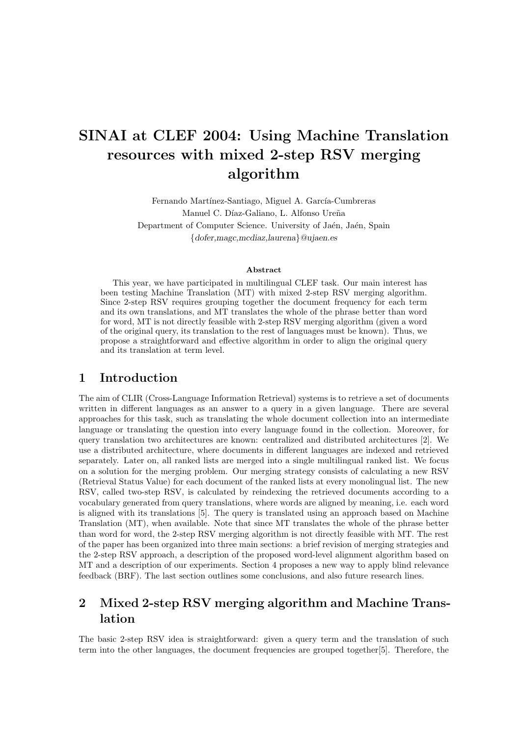# SINAI at CLEF 2004: Using Machine Translation resources with mixed 2-step RSV merging algorithm

Fernando Martínez-Santiago, Miguel A. García-Cumbreras Manuel C. Díaz-Galiano, L. Alfonso Ureña Department of Computer Science. University of Jaén, Jaén, Spain {dofer,magc,mcdiaz,laurena}@ujaen.es

#### Abstract

This year, we have participated in multilingual CLEF task. Our main interest has been testing Machine Translation (MT) with mixed 2-step RSV merging algorithm. Since 2-step RSV requires grouping together the document frequency for each term and its own translations, and MT translates the whole of the phrase better than word for word, MT is not directly feasible with 2-step RSV merging algorithm (given a word of the original query, its translation to the rest of languages must be known). Thus, we propose a straightforward and effective algorithm in order to align the original query and its translation at term level.

### 1 Introduction

The aim of CLIR (Cross-Language Information Retrieval) systems is to retrieve a set of documents written in different languages as an answer to a query in a given language. There are several approaches for this task, such as translating the whole document collection into an intermediate language or translating the question into every language found in the collection. Moreover, for query translation two architectures are known: centralized and distributed architectures [2]. We use a distributed architecture, where documents in different languages are indexed and retrieved separately. Later on, all ranked lists are merged into a single multilingual ranked list. We focus on a solution for the merging problem. Our merging strategy consists of calculating a new RSV (Retrieval Status Value) for each document of the ranked lists at every monolingual list. The new RSV, called two-step RSV, is calculated by reindexing the retrieved documents according to a vocabulary generated from query translations, where words are aligned by meaning, i.e. each word is aligned with its translations [5]. The query is translated using an approach based on Machine Translation (MT), when available. Note that since MT translates the whole of the phrase better than word for word, the 2-step RSV merging algorithm is not directly feasible with MT. The rest of the paper has been organized into three main sections: a brief revision of merging strategies and the 2-step RSV approach, a description of the proposed word-level alignment algorithm based on MT and a description of our experiments. Section 4 proposes a new way to apply blind relevance feedback (BRF). The last section outlines some conclusions, and also future research lines.

# 2 Mixed 2-step RSV merging algorithm and Machine Translation

The basic 2-step RSV idea is straightforward: given a query term and the translation of such term into the other languages, the document frequencies are grouped together[5]. Therefore, the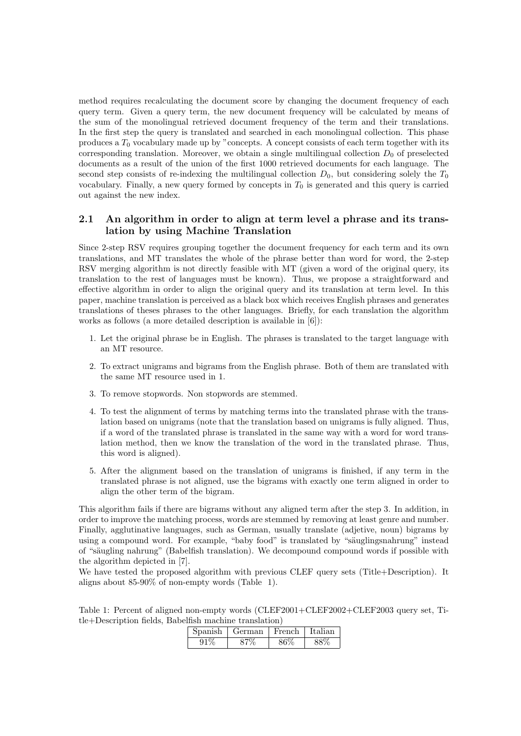method requires recalculating the document score by changing the document frequency of each query term. Given a query term, the new document frequency will be calculated by means of the sum of the monolingual retrieved document frequency of the term and their translations. In the first step the query is translated and searched in each monolingual collection. This phase produces a  $T_0$  vocabulary made up by "concepts. A concept consists of each term together with its corresponding translation. Moreover, we obtain a single multilingual collection  $D_0$  of preselected documents as a result of the union of the first 1000 retrieved documents for each language. The second step consists of re-indexing the multilingual collection  $D_0$ , but considering solely the  $T_0$ vocabulary. Finally, a new query formed by concepts in  $T_0$  is generated and this query is carried out against the new index.

### 2.1 An algorithm in order to align at term level a phrase and its translation by using Machine Translation

Since 2-step RSV requires grouping together the document frequency for each term and its own translations, and MT translates the whole of the phrase better than word for word, the 2-step RSV merging algorithm is not directly feasible with MT (given a word of the original query, its translation to the rest of languages must be known). Thus, we propose a straightforward and effective algorithm in order to align the original query and its translation at term level. In this paper, machine translation is perceived as a black box which receives English phrases and generates translations of theses phrases to the other languages. Briefly, for each translation the algorithm works as follows (a more detailed description is available in [6]):

- 1. Let the original phrase be in English. The phrases is translated to the target language with an MT resource.
- 2. To extract unigrams and bigrams from the English phrase. Both of them are translated with the same MT resource used in 1.
- 3. To remove stopwords. Non stopwords are stemmed.
- 4. To test the alignment of terms by matching terms into the translated phrase with the translation based on unigrams (note that the translation based on unigrams is fully aligned. Thus, if a word of the translated phrase is translated in the same way with a word for word translation method, then we know the translation of the word in the translated phrase. Thus, this word is aligned).
- 5. After the alignment based on the translation of unigrams is finished, if any term in the translated phrase is not aligned, use the bigrams with exactly one term aligned in order to align the other term of the bigram.

This algorithm fails if there are bigrams without any aligned term after the step 3. In addition, in order to improve the matching process, words are stemmed by removing at least genre and number. Finally, agglutinative languages, such as German, usually translate (adjetive, noun) bigrams by using a compound word. For example, "baby food" is translated by "säuglingsnahrung" instead of "säugling nahrung" (Babelfish translation). We decompound compound words if possible with the algorithm depicted in [7].

We have tested the proposed algorithm with previous CLEF query sets (Title+Description). It aligns about 85-90% of non-empty words (Table 1).

Table 1: Percent of aligned non-empty words (CLEF2001+CLEF2002+CLEF2003 query set, Title+Description fields, Babelfish machine translation)

| anish | German | French | Italian |
|-------|--------|--------|---------|
| u i   |        |        |         |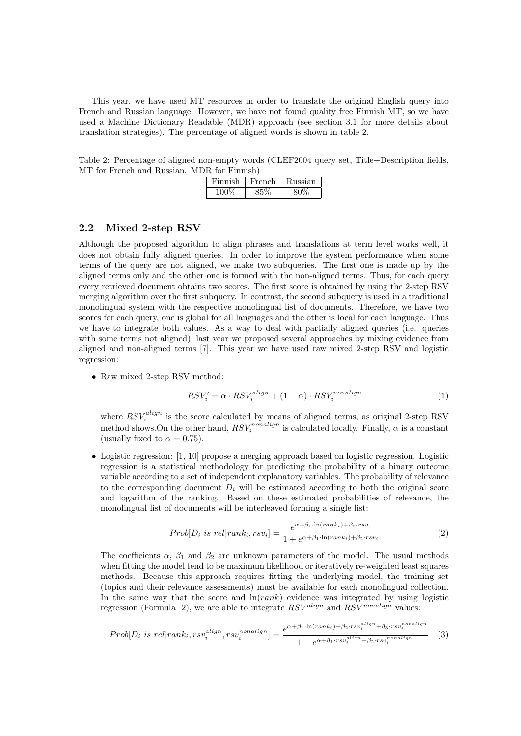This year, we have used MT resources in order to translate the original English query into French and Russian language. However, we have not found quality free Finnish MT, so we have used a Machine Dictionary Readable (MDR) approach (see section 3.1 for more details about translation strategies). The percentage of aligned words is shown in table 2.

Table 2: Percentage of aligned non-empty words (CLEF2004 query set, Title+Description fields, MT for French and Russian. MDR for Finnish)

| Finnish | French | Kussian |
|---------|--------|---------|
| 100%    |        |         |

#### 2.2 Mixed 2-step RSV

Although the proposed algorithm to align phrases and translations at term level works well, it does not obtain fully aligned queries. In order to improve the system performance when some terms of the query are not aligned, we make two subqueries. The first one is made up by the aligned terms only and the other one is formed with the non-aligned terms. Thus, for each query every retrieved document obtains two scores. The first score is obtained by using the 2-step RSV merging algorithm over the first subquery. In contrast, the second subquery is used in a traditional monolingual system with the respective monolingual list of documents. Therefore, we have two scores for each query, one is global for all languages and the other is local for each language. Thus we have to integrate both values. As a way to deal with partially aligned queries (i.e. queries with some terms not aligned), last year we proposed several approaches by mixing evidence from aligned and non-aligned terms [7]. This year we have used raw mixed 2-step RSV and logistic regression:

• Raw mixed 2-step RSV method:

$$
RSV_i' = \alpha \cdot RSV_i^{align} + (1 - \alpha) \cdot RSV_i^{nonalign} \tag{1}
$$

where  $RSV_i^{align}$  is the score calculated by means of aligned terms, as original 2-step RSV where  $iSv_i$  is the score calculated by means of anglied terms, as original 2-step rts v<br>method shows. On the other hand,  $RSV_i^{nonalign}$  is calculated locally. Finally,  $\alpha$  is a constant (usually fixed to  $\alpha = 0.75$ ).

• Logistic regression: [1, 10] propose a merging approach based on logistic regression. Logistic regression is a statistical methodology for predicting the probability of a binary outcome variable according to a set of independent explanatory variables. The probability of relevance to the corresponding document  $D_i$  will be estimated according to both the original score and logarithm of the ranking. Based on these estimated probabilities of relevance, the monolingual list of documents will be interleaved forming a single list:

$$
Prob[D_i \text{ is rel}|rank_i, rsv_i] = \frac{e^{\alpha + \beta_1 \cdot \ln(rank_i) + \beta_2 \cdot rsv_i}}{1 + e^{\alpha + \beta_1 \cdot \ln(rank_i) + \beta_2 \cdot rsv_i}} \tag{2}
$$

The coefficients  $\alpha$ ,  $\beta_1$  and  $\beta_2$  are unknown parameters of the model. The usual methods when fitting the model tend to be maximum likelihood or iteratively re-weighted least squares methods. Because this approach requires fitting the underlying model, the training set (topics and their relevance assessments) must be available for each monolingual collection. In the same way that the score and  $\ln(rank)$  evidence was integrated by using logistic regression (Formula 2), we are able to integrate  $RSV^{align}$  and  $RSV^{nonalign}$  values:

$$
Prob[D_i \text{ is rel} | rank_i, rsv_i^{align}, rsv_i^{nonalign}] = \frac{e^{\alpha + \beta_1 \cdot \ln(rank_i) + \beta_2 \cdot rsv_i^{align} + \beta_3 \cdot rsv_i^{nonalign}}{1 + e^{\alpha + \beta_1 \cdot rsv_i^{align} + \beta_2 \cdot rsv_i^{nonalign}}} \tag{3}
$$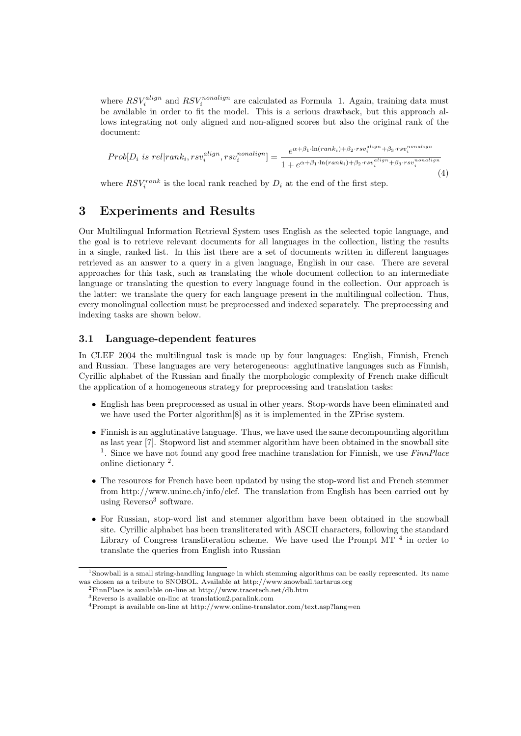where  $RSV_i^{align}$  and  $RSV_i^{nonalign}$  are calculated as Formula 1. Again, training data must be available in order to fit the model. This is a serious drawback, but this approach allows integrating not only aligned and non-aligned scores but also the original rank of the document:

$$
Prob[D_i \text{ is rel}|rank_i, rsv_i^{align}, rsv_i^{nonalign}] = \frac{e^{\alpha + \beta_1 \cdot \ln(rank_i) + \beta_2 \cdot rsv_i^{align} + \beta_3 \cdot rsv_i^{nonalign}}}{1 + e^{\alpha + \beta_1 \cdot \ln(rank_i) + \beta_2 \cdot rsv_i^{align} + \beta_3 \cdot rsv_i^{nonalign}}}
$$
\n(4)

where  $RSV_i^{rank}$  is the local rank reached by  $D_i$  at the end of the first step.

# 3 Experiments and Results

Our Multilingual Information Retrieval System uses English as the selected topic language, and the goal is to retrieve relevant documents for all languages in the collection, listing the results in a single, ranked list. In this list there are a set of documents written in different languages retrieved as an answer to a query in a given language, English in our case. There are several approaches for this task, such as translating the whole document collection to an intermediate language or translating the question to every language found in the collection. Our approach is the latter: we translate the query for each language present in the multilingual collection. Thus, every monolingual collection must be preprocessed and indexed separately. The preprocessing and indexing tasks are shown below.

### 3.1 Language-dependent features

In CLEF 2004 the multilingual task is made up by four languages: English, Finnish, French and Russian. These languages are very heterogeneous: agglutinative languages such as Finnish, Cyrillic alphabet of the Russian and finally the morphologic complexity of French make difficult the application of a homogeneous strategy for preprocessing and translation tasks:

- English has been preprocessed as usual in other years. Stop-words have been eliminated and we have used the Porter algorithm[8] as it is implemented in the ZPrise system.
- Finnish is an agglutinative language. Thus, we have used the same decompounding algorithm as last year [7]. Stopword list and stemmer algorithm have been obtained in the snowball site <sup>1</sup>. Since we have not found any good free machine translation for Finnish, we use  $FinnPlace$ online dictionary <sup>2</sup>.
- The resources for French have been updated by using the stop-word list and French stemmer from http://www.unine.ch/info/clef. The translation from English has been carried out by using Reverso<sup>3</sup> software.
- For Russian, stop-word list and stemmer algorithm have been obtained in the snowball site. Cyrillic alphabet has been transliterated with ASCII characters, following the standard Library of Congress transliteration scheme. We have used the Prompt MT  $<sup>4</sup>$  in order to</sup> translate the queries from English into Russian

<sup>2</sup>FinnPlace is available on-line at http://www.tracetech.net/db.htm

<sup>1</sup>Snowball is a small string-handling language in which stemming algorithms can be easily represented. Its name was chosen as a tribute to SNOBOL. Available at http://www.snowball.tartarus.org

<sup>3</sup>Reverso is available on-line at translation2.paralink.com

<sup>4</sup>Prompt is available on-line at http://www.online-translator.com/text.asp?lang=en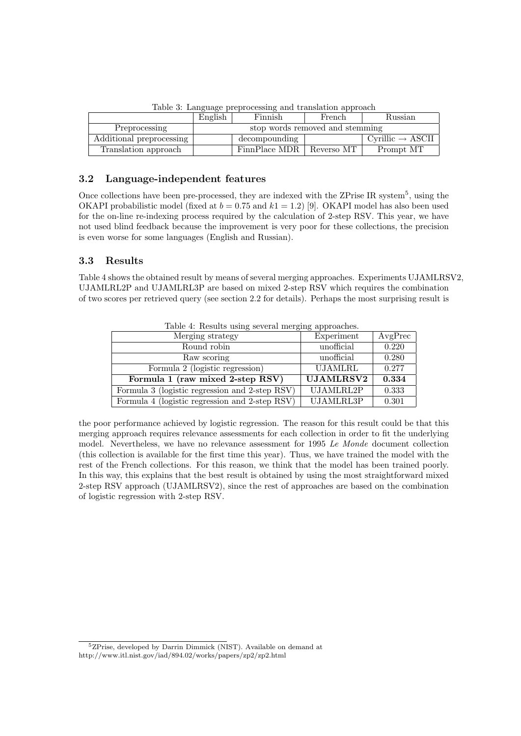|                          | English                         | Finnish                    | French | Russian                      |
|--------------------------|---------------------------------|----------------------------|--------|------------------------------|
| Preprocessing            | stop words removed and stemming |                            |        |                              |
| Additional preprocessing |                                 | decompounding              |        | $Cyrillic \rightarrow ASCII$ |
| Translation approach     |                                 | FinnPlace MDR   Reverso MT |        | Prompt MT                    |

Table 3: Language preprocessing and translation approach

# 3.2 Language-independent features

Once collections have been pre-processed, they are indexed with the ZPrise IR system<sup>5</sup>, using the OKAPI probabilistic model (fixed at  $b = 0.75$  and  $k1 = 1.2$ ) [9]. OKAPI model has also been used for the on-line re-indexing process required by the calculation of 2-step RSV. This year, we have not used blind feedback because the improvement is very poor for these collections, the precision is even worse for some languages (English and Russian).

# 3.3 Results

Table 4 shows the obtained result by means of several merging approaches. Experiments UJAMLRSV2, UJAMLRL2P and UJAMLRL3P are based on mixed 2-step RSV which requires the combination of two scores per retrieved query (see section 2.2 for details). Perhaps the most surprising result is

| Table +. Though asing several merging approaches. |                  |         |  |  |
|---------------------------------------------------|------------------|---------|--|--|
| Merging strategy                                  | Experiment       | AvgPrec |  |  |
| Round robin                                       | unofficial       | 0.220   |  |  |
| Raw scoring                                       | unofficial       | 0.280   |  |  |
| Formula 2 (logistic regression)                   | <b>UJAMLRL</b>   | 0.277   |  |  |
| Formula 1 (raw mixed 2-step RSV)                  | <b>UJAMLRSV2</b> | 0.334   |  |  |
| Formula 3 (logistic regression and 2-step RSV)    | UJAMLRL2P        | 0.333   |  |  |
| Formula 4 (logistic regression and 2-step RSV)    | UJAMLRL3P        | 0.301   |  |  |

Table 4: Results using several merging approaches.

the poor performance achieved by logistic regression. The reason for this result could be that this merging approach requires relevance assessments for each collection in order to fit the underlying model. Nevertheless, we have no relevance assessment for 1995 Le Monde document collection (this collection is available for the first time this year). Thus, we have trained the model with the rest of the French collections. For this reason, we think that the model has been trained poorly. In this way, this explains that the best result is obtained by using the most straightforward mixed 2-step RSV approach (UJAMLRSV2), since the rest of approaches are based on the combination of logistic regression with 2-step RSV.

<sup>5</sup>ZPrise, developed by Darrin Dimmick (NIST). Available on demand at http://www.itl.nist.gov/iad/894.02/works/papers/zp2/zp2.html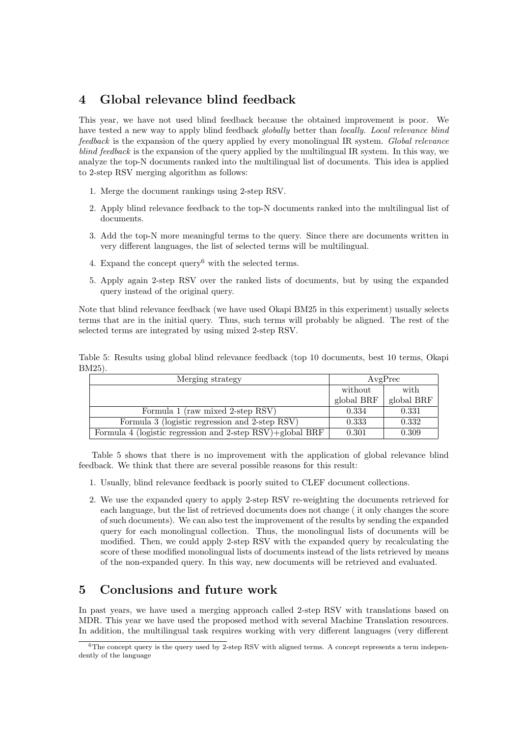# 4 Global relevance blind feedback

This year, we have not used blind feedback because the obtained improvement is poor. We have tested a new way to apply blind feedback globally better than locally. Local relevance blind feedback is the expansion of the query applied by every monolingual IR system. Global relevance blind feedback is the expansion of the query applied by the multilingual IR system. In this way, we analyze the top-N documents ranked into the multilingual list of documents. This idea is applied to 2-step RSV merging algorithm as follows:

- 1. Merge the document rankings using 2-step RSV.
- 2. Apply blind relevance feedback to the top-N documents ranked into the multilingual list of documents.
- 3. Add the top-N more meaningful terms to the query. Since there are documents written in very different languages, the list of selected terms will be multilingual.
- 4. Expand the concept query<sup>6</sup> with the selected terms.
- 5. Apply again 2-step RSV over the ranked lists of documents, but by using the expanded query instead of the original query.

Note that blind relevance feedback (we have used Okapi BM25 in this experiment) usually selects terms that are in the initial query. Thus, such terms will probably be aligned. The rest of the selected terms are integrated by using mixed 2-step RSV.

Table 5: Results using global blind relevance feedback (top 10 documents, best 10 terms, Okapi BM25).

| Merging strategy                                          | AvgPrec    |            |  |
|-----------------------------------------------------------|------------|------------|--|
|                                                           | without    | with       |  |
|                                                           | global BRF | global BRF |  |
| Formula 1 (raw mixed 2-step RSV)                          | 0.334      | 0.331      |  |
| Formula 3 (logistic regression and 2-step RSV)            | 0.333      | 0.332      |  |
| Formula 4 (logistic regression and 2-step RSV)+global BRF | 0.301      | 0.309      |  |

Table 5 shows that there is no improvement with the application of global relevance blind feedback. We think that there are several possible reasons for this result:

- 1. Usually, blind relevance feedback is poorly suited to CLEF document collections.
- 2. We use the expanded query to apply 2-step RSV re-weighting the documents retrieved for each language, but the list of retrieved documents does not change ( it only changes the score of such documents). We can also test the improvement of the results by sending the expanded query for each monolingual collection. Thus, the monolingual lists of documents will be modified. Then, we could apply 2-step RSV with the expanded query by recalculating the score of these modified monolingual lists of documents instead of the lists retrieved by means of the non-expanded query. In this way, new documents will be retrieved and evaluated.

# 5 Conclusions and future work

In past years, we have used a merging approach called 2-step RSV with translations based on MDR. This year we have used the proposed method with several Machine Translation resources. In addition, the multilingual task requires working with very different languages (very different

 $6$ The concept query is the query used by 2-step RSV with aligned terms. A concept represents a term independently of the language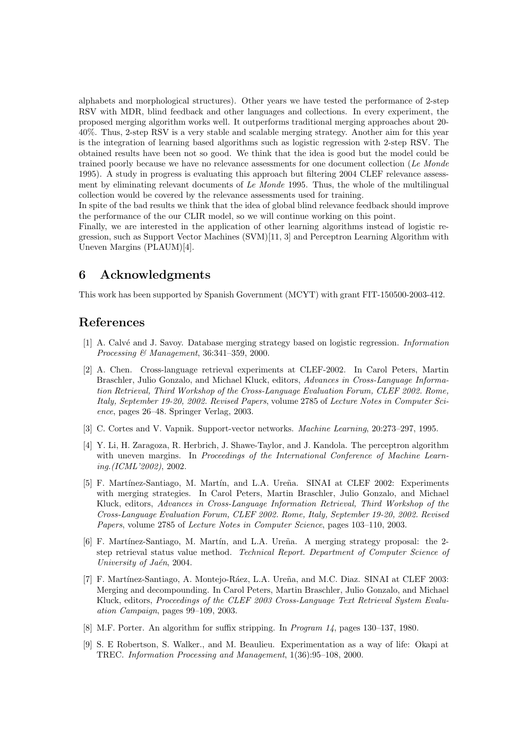alphabets and morphological structures). Other years we have tested the performance of 2-step RSV with MDR, blind feedback and other languages and collections. In every experiment, the proposed merging algorithm works well. It outperforms traditional merging approaches about 20- 40%. Thus, 2-step RSV is a very stable and scalable merging strategy. Another aim for this year is the integration of learning based algorithms such as logistic regression with 2-step RSV. The obtained results have been not so good. We think that the idea is good but the model could be trained poorly because we have no relevance assessments for one document collection (Le Monde 1995). A study in progress is evaluating this approach but filtering 2004 CLEF relevance assessment by eliminating relevant documents of Le Monde 1995. Thus, the whole of the multilingual collection would be covered by the relevance assessments used for training.

In spite of the bad results we think that the idea of global blind relevance feedback should improve the performance of the our CLIR model, so we will continue working on this point.

Finally, we are interested in the application of other learning algorithms instead of logistic regression, such as Support Vector Machines (SVM)[11, 3] and Perceptron Learning Algorithm with Uneven Margins (PLAUM)[4].

# 6 Acknowledgments

This work has been supported by Spanish Government (MCYT) with grant FIT-150500-2003-412.

# References

- [1] A. Calv´e and J. Savoy. Database merging strategy based on logistic regression. Information Processing & Management, 36:341–359, 2000.
- [2] A. Chen. Cross-language retrieval experiments at CLEF-2002. In Carol Peters, Martin Braschler, Julio Gonzalo, and Michael Kluck, editors, Advances in Cross-Language Information Retrieval, Third Workshop of the Cross-Language Evaluation Forum, CLEF 2002. Rome, Italy, September 19-20, 2002. Revised Papers, volume 2785 of Lecture Notes in Computer Science, pages 26–48. Springer Verlag, 2003.
- [3] C. Cortes and V. Vapnik. Support-vector networks. Machine Learning, 20:273–297, 1995.
- [4] Y. Li, H. Zaragoza, R. Herbrich, J. Shawe-Taylor, and J. Kandola. The perceptron algorithm with uneven margins. In Proceedings of the International Conference of Machine Learning.(ICML'2002), 2002.
- [5] F. Martínez-Santiago, M. Martín, and L.A. Ureña. SINAI at CLEF 2002: Experiments with merging strategies. In Carol Peters, Martin Braschler, Julio Gonzalo, and Michael Kluck, editors, Advances in Cross-Language Information Retrieval, Third Workshop of the Cross-Language Evaluation Forum, CLEF 2002. Rome, Italy, September 19-20, 2002. Revised Papers, volume 2785 of Lecture Notes in Computer Science, pages 103–110, 2003.
- [6] F. Martínez-Santiago, M. Martín, and L.A. Ureña. A merging strategy proposal: the 2step retrieval status value method. Technical Report. Department of Computer Science of University of Jaén, 2004.
- [7] F. Martínez-Santiago, A. Montejo-Ráez, L.A. Ureña, and M.C. Diaz. SINAI at CLEF 2003: Merging and decompounding. In Carol Peters, Martin Braschler, Julio Gonzalo, and Michael Kluck, editors, Proceedings of the CLEF 2003 Cross-Language Text Retrieval System Evaluation Campaign, pages 99–109, 2003.
- [8] M.F. Porter. An algorithm for suffix stripping. In Program 14, pages 130–137, 1980.
- [9] S. E Robertson, S. Walker., and M. Beaulieu. Experimentation as a way of life: Okapi at TREC. Information Processing and Management, 1(36):95–108, 2000.